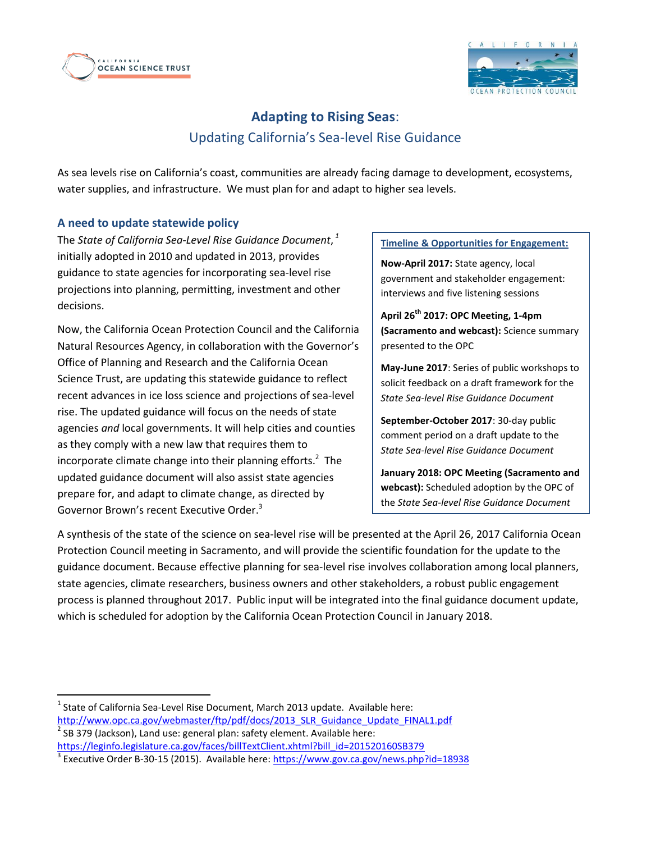



# **Adapting to Rising Seas**: Updating California's Sea-level Rise Guidance

As sea levels rise on California's coast, communities are already facing damage to development, ecosystems, water supplies, and infrastructure. We must plan for and adapt to higher sea levels.

## **A need to update statewide policy**

 $\overline{a}$ 

The *State of California Sea-Level Rise Guidance Document*, *1* initially adopted in 2010 and updated in 2013, provides guidance to state agencies for incorporating sea-level rise projections into planning, permitting, investment and other decisions.

Now, the California Ocean Protection Council and the California Natural Resources Agency, in collaboration with the Governor's Office of Planning and Research and the California Ocean Science Trust, are updating this statewide guidance to reflect recent advances in ice loss science and projections of sea-level rise. The updated guidance will focus on the needs of state agencies *and* local governments. It will help cities and counties as they comply with a new law that requires them to incorporate climate change into their planning efforts.<sup>2</sup> The updated guidance document will also assist state agencies prepare for, and adapt to climate change, as directed by Governor Brown's recent Executive Order.<sup>3</sup>

#### **Timeline & Opportunities for Engagement:**

**Now-April 2017:** State agency, local government and stakeholder engagement: interviews and five listening sessions

**April 26th 2017: OPC Meeting, 1-4pm (Sacramento and webcast):** Science summary presented to the OPC

**May-June 2017**: Series of public workshops to solicit feedback on a draft framework for the *State Sea-level Rise Guidance Document*

**September-October 2017**: 30-day public comment period on a draft update to the *State Sea-level Rise Guidance Document*

**January 2018: OPC Meeting (Sacramento and webcast):** Scheduled adoption by the OPC of the *State Sea-level Rise Guidance Document*

A synthesis of the state of the science on sea-level rise will be presented at the April 26, 2017 California Ocean Protection Council meeting in Sacramento, and will provide the scientific foundation for the update to the guidance document. Because effective planning for sea-level rise involves collaboration among local planners, state agencies, climate researchers, business owners and other stakeholders, a robust public engagement process is planned throughout 2017. Public input will be integrated into the final guidance document update, which is scheduled for adoption by the California Ocean Protection Council in January 2018.

 $^{1}$  State of California Sea-Level Rise Document, March 2013 update. Available here: [http://www.opc.ca.gov/webmaster/ftp/pdf/docs/2013\\_SLR\\_Guidance\\_Update\\_FINAL1.pdf](http://www.opc.ca.gov/webmaster/ftp/pdf/docs/2013_SLR_Guidance_Update_FINAL1.pdf) 2 SB 379 (Jackson), Land use: general plan: safety element. Available here:

[https://leginfo.legislature.ca.gov/faces/billTextClient.xhtml?bill\\_id=201520160SB379](https://leginfo.legislature.ca.gov/faces/billTextClient.xhtml?bill_id=201520160SB379)

<sup>&</sup>lt;sup>3</sup> Executive Order B-30-15 (2015). Available here:<https://www.gov.ca.gov/news.php?id=18938>